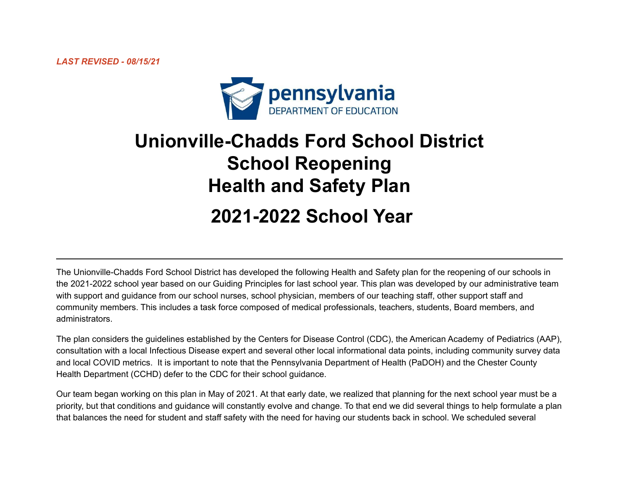

# **Unionville-Chadds Ford School District School Reopening Health and Safety Plan 2021-2022 School Year**

The Unionville-Chadds Ford School District has developed the following Health and Safety plan for the reopening of our schools in the 2021-2022 school year based on our Guiding Principles for last school year. This plan was developed by our administrative team with support and guidance from our school nurses, school physician, members of our teaching staff, other support staff and community members. This includes a task force composed of medical professionals, teachers, students, Board members, and administrators.

The plan considers the guidelines established by the Centers for Disease Control (CDC), the American Academy of Pediatrics (AAP), consultation with a local Infectious Disease expert and several other local informational data points, including community survey data and local COVID metrics. It is important to note that the Pennsylvania Department of Health (PaDOH) and the Chester County Health Department (CCHD) defer to the CDC for their school guidance.

Our team began working on this plan in May of 2021. At that early date, we realized that planning for the next school year must be a priority, but that conditions and guidance will constantly evolve and change. To that end we did several things to help formulate a plan that balances the need for student and staff safety with the need for having our students back in school. We scheduled several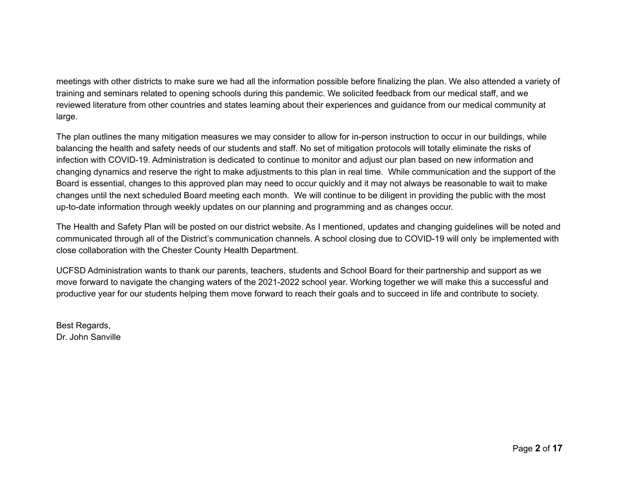meetings with other districts to make sure we had all the information possible before finalizing the plan. We also attended a variety of training and seminars related to opening schools during this pandemic. We solicited feedback from our medical staff, and we reviewed literature from other countries and states learning about their experiences and guidance from our medical community at large.

The plan outlines the many mitigation measures we may consider to allow for in-person instruction to occur in our buildings, while balancing the health and safety needs of our students and staff. No set of mitigation protocols will totally eliminate the risks of infection with COVID-19. Administration is dedicated to continue to monitor and adjust our plan based on new information and changing dynamics and reserve the right to make adjustments to this plan in real time. While communication and the support of the Board is essential, changes to this approved plan may need to occur quickly and it may not always be reasonable to wait to make changes until the next scheduled Board meeting each month. We will continue to be diligent in providing the public with the most up-to-date information through weekly updates on our planning and programming and as changes occur.

The Health and Safety Plan will be posted on our district website. As I mentioned, updates and changing guidelines will be noted and communicated through all of the District's communication channels. A school closing due to COVID-19 will only be implemented with close collaboration with the Chester County Health Department.

UCFSD Administration wants to thank our parents, teachers, students and School Board for their partnership and support as we move forward to navigate the changing waters of the 2021-2022 school year. Working together we will make this a successful and productive year for our students helping them move forward to reach their goals and to succeed in life and contribute to society.

Best Regards, Dr. John Sanville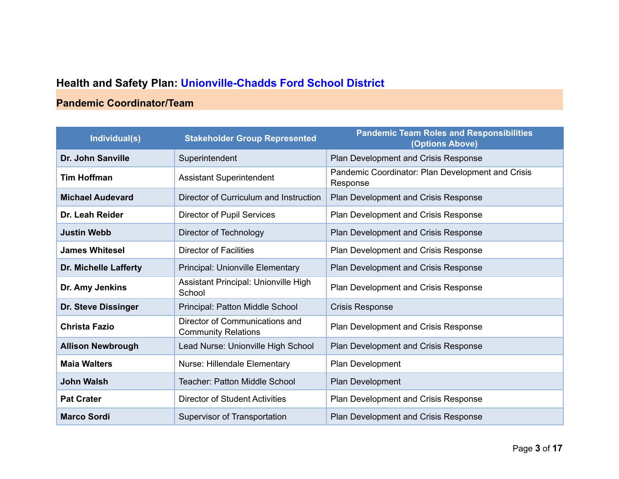## **Health and Safety Plan: Unionville-Chadds Ford School District**

## **Pandemic Coordinator/Team**

| Individual(s)            | <b>Stakeholder Group Represented</b>                         | <b>Pandemic Team Roles and Responsibilities</b><br>(Options Above) |  |
|--------------------------|--------------------------------------------------------------|--------------------------------------------------------------------|--|
| Dr. John Sanville        | Superintendent                                               | Plan Development and Crisis Response                               |  |
| <b>Tim Hoffman</b>       | <b>Assistant Superintendent</b>                              | Pandemic Coordinator: Plan Development and Crisis<br>Response      |  |
| <b>Michael Audevard</b>  | Director of Curriculum and Instruction                       | Plan Development and Crisis Response                               |  |
| Dr. Leah Reider          | <b>Director of Pupil Services</b>                            | Plan Development and Crisis Response                               |  |
| <b>Justin Webb</b>       | Director of Technology                                       | Plan Development and Crisis Response                               |  |
| <b>James Whitesel</b>    | <b>Director of Facilities</b>                                | Plan Development and Crisis Response                               |  |
| Dr. Michelle Lafferty    | <b>Principal: Unionville Elementary</b>                      | Plan Development and Crisis Response                               |  |
| Dr. Amy Jenkins          | Assistant Principal: Unionville High<br>School               | Plan Development and Crisis Response                               |  |
| Dr. Steve Dissinger      | Principal: Patton Middle School                              | <b>Crisis Response</b>                                             |  |
| <b>Christa Fazio</b>     | Director of Communications and<br><b>Community Relations</b> | Plan Development and Crisis Response                               |  |
| <b>Allison Newbrough</b> | Lead Nurse: Unionville High School                           | Plan Development and Crisis Response                               |  |
| <b>Maia Walters</b>      | Nurse: Hillendale Elementary                                 | Plan Development                                                   |  |
| <b>John Walsh</b>        | <b>Teacher: Patton Middle School</b>                         | Plan Development                                                   |  |
| <b>Pat Crater</b>        | <b>Director of Student Activities</b>                        | Plan Development and Crisis Response                               |  |
| <b>Marco Sordi</b>       | Supervisor of Transportation                                 | Plan Development and Crisis Response                               |  |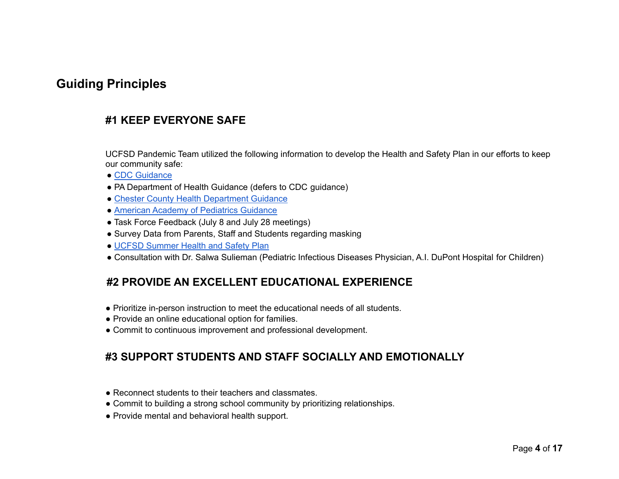## **Guiding Principles**

## **#1 KEEP EVERYONE SAFE**

UCFSD Pandemic Team utilized the following information to develop the Health and Safety Plan in our efforts to keep our community safe:

- CDC [Guidance](https://www.cdc.gov/coronavirus/2019-ncov/community/schools-childcare/index.html)
- PA Department of Health Guidance (defers to CDC guidance)
- Chester County Health [Department](https://drive.google.com/drive/folders/1fHWG001DpZ93OlmkPhdJt6JJ-gQIhNW9?usp=sharing) Guidance
- American Academy of [Pediatrics](https://services.aap.org/en/pages/2019-novel-coronavirus-covid-19-infections/clinical-guidance/covid-19-planning-considerations-return-to-in-person-education-in-schools/) Guidance
- Task Force Feedback (July 8 and July 28 meetings)
- Survey Data from Parents, Staff and Students regarding masking
- UCFSD [Summer](https://go.boarddocs.com/pa/uncf/Board.nsf/files/C3TLH7568DD3/$file/Summer%20Health%20and%20Safety%20Plan.pdf) Health and Safety Plan
- Consultation with Dr. Salwa Sulieman (Pediatric Infectious Diseases Physician, A.I. DuPont Hospital for Children)

## **#2 PROVIDE AN EXCELLENT EDUCATIONAL EXPERIENCE**

- Prioritize in-person instruction to meet the educational needs of all students.
- Provide an online educational option for families.
- Commit to continuous improvement and professional development.

### **#3 SUPPORT STUDENTS AND STAFF SOCIALLY AND EMOTIONALLY**

- Reconnect students to their teachers and classmates.
- Commit to building a strong school community by prioritizing relationships.
- Provide mental and behavioral health support.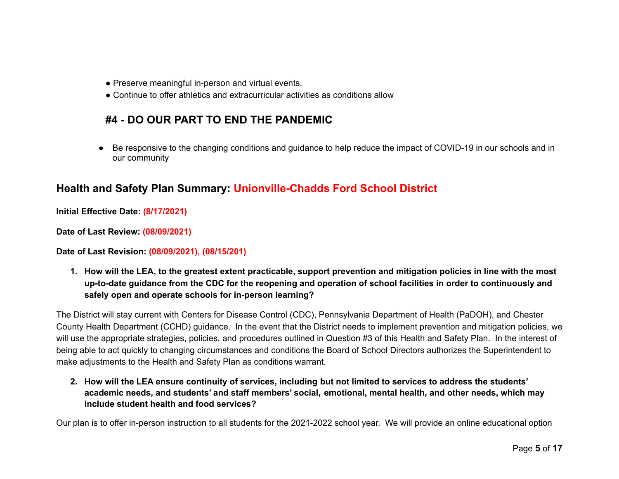- Preserve meaningful in-person and virtual events.
- Continue to offer athletics and extracurricular activities as conditions allow

## **#4 - DO OUR PART TO END THE PANDEMIC**

Be responsive to the changing conditions and guidance to help reduce the impact of COVID-19 in our schools and in our community

## **Health and Safety Plan Summary: Unionville-Chadds Ford School District**

**Initial Effective Date: (8/17/2021)**

**Date of Last Review: (08/09/2021)**

**Date of Last Revision: (08/09/2021), (08/15/201)**

1. How will the LEA, to the greatest extent practicable, support prevention and mitigation policies in line with the most up-to-date guidance from the CDC for the reopening and operation of school facilities in order to continuously and **safely open and operate schools for in-person learning?**

The District will stay current with Centers for Disease Control (CDC), Pennsylvania Department of Health (PaDOH), and Chester County Health Department (CCHD) guidance. In the event that the District needs to implement prevention and mitigation policies, we will use the appropriate strategies, policies, and procedures outlined in Question #3 of this Health and Safety Plan. In the interest of being able to act quickly to changing circumstances and conditions the Board of School Directors authorizes the Superintendent to make adjustments to the Health and Safety Plan as conditions warrant.

2. How will the LEA ensure continuity of services, including but not limited to services to address the students' **academic needs, and students' and staff members' social, emotional, mental health, and other needs, which may include student health and food services?**

Our plan is to offer in-person instruction to all students for the 2021-2022 school year. We will provide an online educational option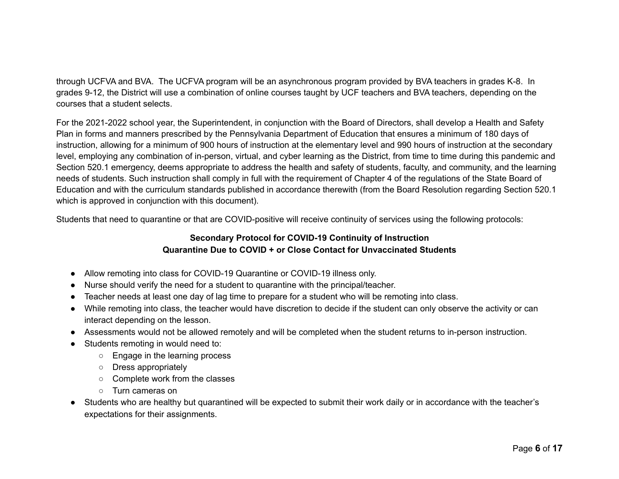through UCFVA and BVA. The UCFVA program will be an asynchronous program provided by BVA teachers in grades K-8. In grades 9-12, the District will use a combination of online courses taught by UCF teachers and BVA teachers, depending on the courses that a student selects.

For the 2021-2022 school year, the Superintendent, in conjunction with the Board of Directors, shall develop a Health and Safety Plan in forms and manners prescribed by the Pennsylvania Department of Education that ensures a minimum of 180 days of instruction, allowing for a minimum of 900 hours of instruction at the elementary level and 990 hours of instruction at the secondary level, employing any combination of in-person, virtual, and cyber learning as the District, from time to time during this pandemic and Section 520.1 emergency, deems appropriate to address the health and safety of students, faculty, and community, and the learning needs of students. Such instruction shall comply in full with the requirement of Chapter 4 of the regulations of the State Board of Education and with the curriculum standards published in accordance therewith (from the Board Resolution regarding Section 520.1 which is approved in conjunction with this document).

Students that need to quarantine or that are COVID-positive will receive continuity of services using the following protocols:

#### **Secondary Protocol for COVID-19 Continuity of Instruction Quarantine Due to COVID + or Close Contact for Unvaccinated Students**

- Allow remoting into class for COVID-19 Quarantine or COVID-19 illness only.
- Nurse should verify the need for a student to quarantine with the principal/teacher.
- Teacher needs at least one day of lag time to prepare for a student who will be remoting into class.
- While remoting into class, the teacher would have discretion to decide if the student can only observe the activity or can interact depending on the lesson.
- Assessments would not be allowed remotely and will be completed when the student returns to in-person instruction.
- Students remoting in would need to:
	- Engage in the learning process
	- Dress appropriately
	- Complete work from the classes
	- Turn cameras on
- Students who are healthy but quarantined will be expected to submit their work daily or in accordance with the teacher's expectations for their assignments.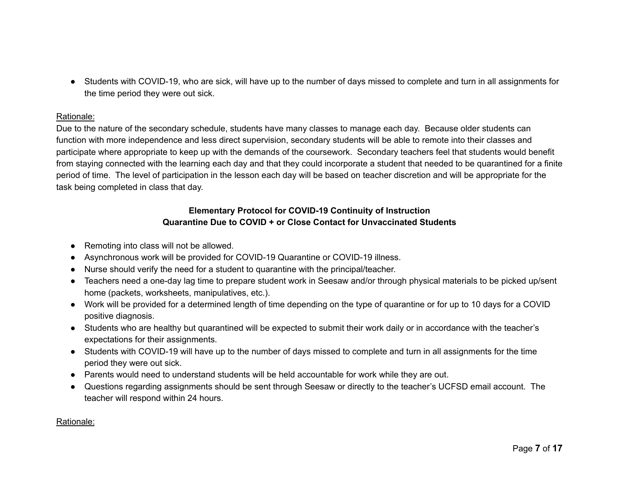● Students with COVID-19, who are sick, will have up to the number of days missed to complete and turn in all assignments for the time period they were out sick.

#### Rationale:

Due to the nature of the secondary schedule, students have many classes to manage each day. Because older students can function with more independence and less direct supervision, secondary students will be able to remote into their classes and participate where appropriate to keep up with the demands of the coursework. Secondary teachers feel that students would benefit from staying connected with the learning each day and that they could incorporate a student that needed to be quarantined for a finite period of time. The level of participation in the lesson each day will be based on teacher discretion and will be appropriate for the task being completed in class that day.

#### **Elementary Protocol for COVID-19 Continuity of Instruction Quarantine Due to COVID + or Close Contact for Unvaccinated Students**

- Remoting into class will not be allowed.
- Asynchronous work will be provided for COVID-19 Quarantine or COVID-19 illness.
- Nurse should verify the need for a student to quarantine with the principal/teacher.
- Teachers need a one-day lag time to prepare student work in Seesaw and/or through physical materials to be picked up/sent home (packets, worksheets, manipulatives, etc.).
- Work will be provided for a determined length of time depending on the type of quarantine or for up to 10 days for a COVID positive diagnosis.
- Students who are healthy but quarantined will be expected to submit their work daily or in accordance with the teacher's expectations for their assignments.
- Students with COVID-19 will have up to the number of days missed to complete and turn in all assignments for the time period they were out sick.
- Parents would need to understand students will be held accountable for work while they are out.
- Questions regarding assignments should be sent through Seesaw or directly to the teacher's UCFSD email account. The teacher will respond within 24 hours.

#### Rationale: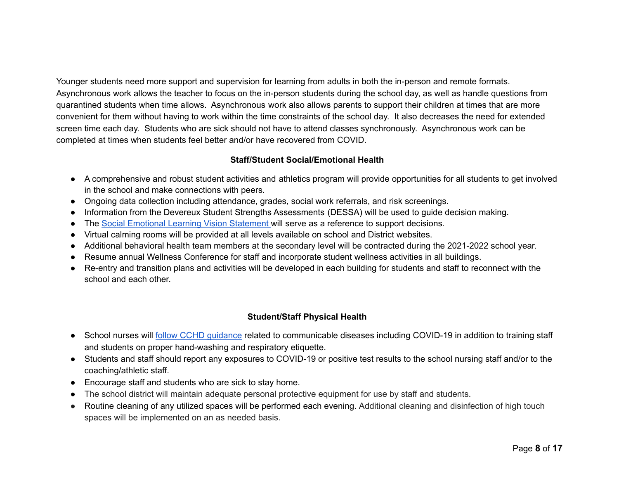Younger students need more support and supervision for learning from adults in both the in-person and remote formats. Asynchronous work allows the teacher to focus on the in-person students during the school day, as well as handle questions from quarantined students when time allows. Asynchronous work also allows parents to support their children at times that are more convenient for them without having to work within the time constraints of the school day. It also decreases the need for extended screen time each day. Students who are sick should not have to attend classes synchronously. Asynchronous work can be completed at times when students feel better and/or have recovered from COVID.

#### **Staff/Student Social/Emotional Health**

- A comprehensive and robust student activities and athletics program will provide opportunities for all students to get involved in the school and make connections with peers.
- Ongoing data collection including attendance, grades, social work referrals, and risk screenings.
- Information from the Devereux Student Strengths Assessments (DESSA) will be used to guide decision making.
- The Social Emotional Learning Vision [Statement](https://go.boarddocs.com/pa/uncf/Board.nsf/files/C3RLNT56BDFD/$file/SOCIAL%20EMOTIONAL%20LEARNING%20-%20VISION%20STATEMENT%20_5.25.21.pdf) will serve as a reference to support decisions.
- Virtual calming rooms will be provided at all levels available on school and District websites.
- Additional behavioral health team members at the secondary level will be contracted during the 2021-2022 school year.
- Resume annual Wellness Conference for staff and incorporate student wellness activities in all buildings.
- Re-entry and transition plans and activities will be developed in each building for students and staff to reconnect with the school and each other.

#### **Student/Staff Physical Health**

- School nurses will follow CCHD quidance related to communicable diseases including COVID-19 in addition to training staff and students on proper hand-washing and respiratory etiquette.
- Students and staff should report any exposures to COVID-19 or positive test results to the school nursing staff and/or to the coaching/athletic staff.
- Encourage staff and students who are sick to stay home.
- The school district will maintain adequate personal protective equipment for use by staff and students.
- Routine cleaning of any utilized spaces will be performed each evening. Additional cleaning and disinfection of high touch spaces will be implemented on an as needed basis.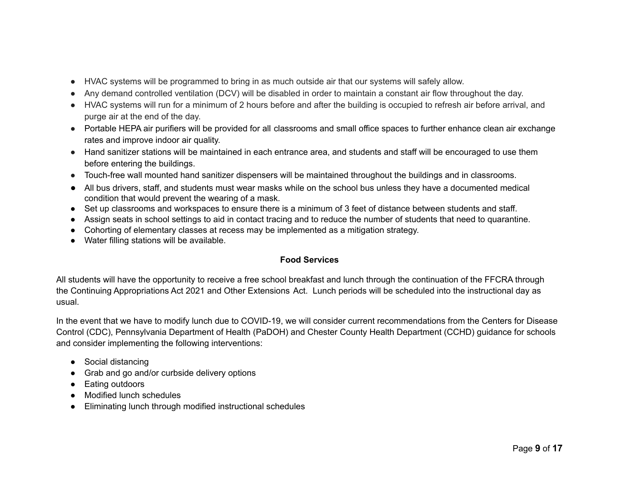- HVAC systems will be programmed to bring in as much outside air that our systems will safely allow.
- Any demand controlled ventilation (DCV) will be disabled in order to maintain a constant air flow throughout the day.
- HVAC systems will run for a minimum of 2 hours before and after the building is occupied to refresh air before arrival, and purge air at the end of the day.
- Portable HEPA air purifiers will be provided for all classrooms and small office spaces to further enhance clean air exchange rates and improve indoor air quality.
- Hand sanitizer stations will be maintained in each entrance area, and students and staff will be encouraged to use them before entering the buildings.
- Touch-free wall mounted hand sanitizer dispensers will be maintained throughout the buildings and in classrooms.
- All bus drivers, staff, and students must wear masks while on the school bus unless they have a documented medical condition that would prevent the wearing of a mask.
- Set up classrooms and workspaces to ensure there is a minimum of 3 feet of distance between students and staff.
- Assign seats in school settings to aid in contact tracing and to reduce the number of students that need to quarantine.
- Cohorting of elementary classes at recess may be implemented as a mitigation strategy.
- Water filling stations will be available.

#### **Food Services**

All students will have the opportunity to receive a free school breakfast and lunch through the continuation of the FFCRA through the Continuing Appropriations Act 2021 and Other Extensions Act. Lunch periods will be scheduled into the instructional day as usual.

In the event that we have to modify lunch due to COVID-19, we will consider current recommendations from the Centers for Disease Control (CDC), Pennsylvania Department of Health (PaDOH) and Chester County Health Department (CCHD) guidance for schools and consider implementing the following interventions:

- Social distancing
- Grab and go and/or curbside delivery options
- **Eating outdoors**
- Modified lunch schedules
- **Eliminating lunch through modified instructional schedules**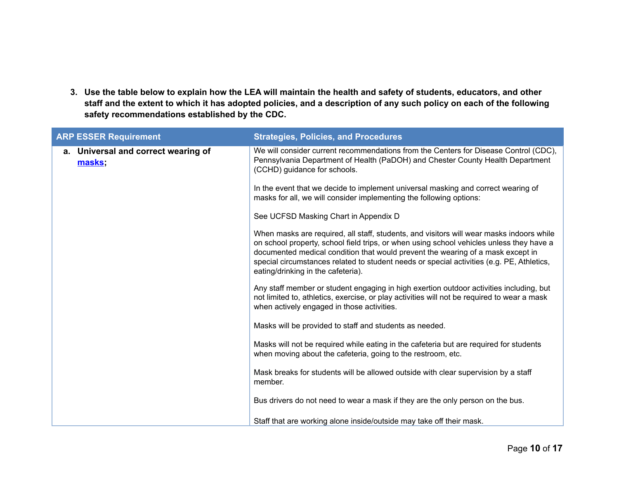3. Use the table below to explain how the LEA will maintain the health and safety of students, educators, and other staff and the extent to which it has adopted policies, and a description of any such policy on each of the following **safety recommendations established by the CDC.**

| <b>ARP ESSER Requirement</b>                     | <b>Strategies, Policies, and Procedures</b>                                                                                                                                                                                                                                                                                                                                                                |
|--------------------------------------------------|------------------------------------------------------------------------------------------------------------------------------------------------------------------------------------------------------------------------------------------------------------------------------------------------------------------------------------------------------------------------------------------------------------|
| Universal and correct wearing of<br>а.<br>masks; | We will consider current recommendations from the Centers for Disease Control (CDC),<br>Pennsylvania Department of Health (PaDOH) and Chester County Health Department<br>(CCHD) guidance for schools.                                                                                                                                                                                                     |
|                                                  | In the event that we decide to implement universal masking and correct wearing of<br>masks for all, we will consider implementing the following options:                                                                                                                                                                                                                                                   |
|                                                  | See UCFSD Masking Chart in Appendix D                                                                                                                                                                                                                                                                                                                                                                      |
|                                                  | When masks are required, all staff, students, and visitors will wear masks indoors while<br>on school property, school field trips, or when using school vehicles unless they have a<br>documented medical condition that would prevent the wearing of a mask except in<br>special circumstances related to student needs or special activities (e.g. PE, Athletics,<br>eating/drinking in the cafeteria). |
|                                                  | Any staff member or student engaging in high exertion outdoor activities including, but<br>not limited to, athletics, exercise, or play activities will not be required to wear a mask<br>when actively engaged in those activities.                                                                                                                                                                       |
|                                                  | Masks will be provided to staff and students as needed.                                                                                                                                                                                                                                                                                                                                                    |
|                                                  | Masks will not be required while eating in the cafeteria but are required for students<br>when moving about the cafeteria, going to the restroom, etc.                                                                                                                                                                                                                                                     |
|                                                  | Mask breaks for students will be allowed outside with clear supervision by a staff<br>member.                                                                                                                                                                                                                                                                                                              |
|                                                  | Bus drivers do not need to wear a mask if they are the only person on the bus.                                                                                                                                                                                                                                                                                                                             |
|                                                  | Staff that are working alone inside/outside may take off their mask.                                                                                                                                                                                                                                                                                                                                       |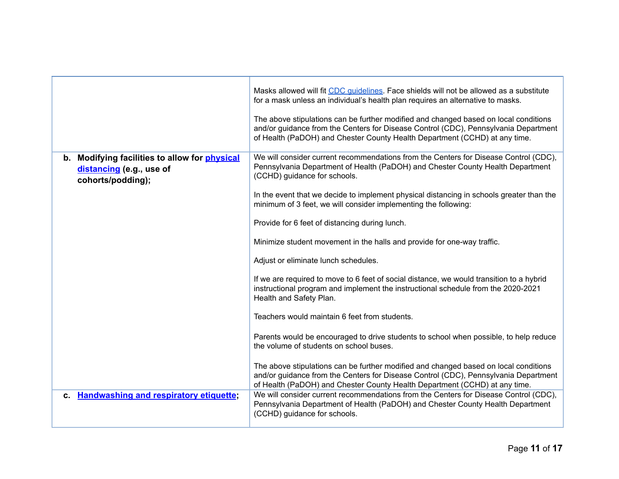|                                                                                                | Masks allowed will fit CDC quidelines. Face shields will not be allowed as a substitute<br>for a mask unless an individual's health plan requires an alternative to masks.<br>The above stipulations can be further modified and changed based on local conditions<br>and/or guidance from the Centers for Disease Control (CDC), Pennsylvania Department<br>of Health (PaDOH) and Chester County Health Department (CCHD) at any time. |
|------------------------------------------------------------------------------------------------|-----------------------------------------------------------------------------------------------------------------------------------------------------------------------------------------------------------------------------------------------------------------------------------------------------------------------------------------------------------------------------------------------------------------------------------------|
| b. Modifying facilities to allow for physical<br>distancing (e.g., use of<br>cohorts/podding); | We will consider current recommendations from the Centers for Disease Control (CDC),<br>Pennsylvania Department of Health (PaDOH) and Chester County Health Department<br>(CCHD) guidance for schools.                                                                                                                                                                                                                                  |
|                                                                                                | In the event that we decide to implement physical distancing in schools greater than the<br>minimum of 3 feet, we will consider implementing the following:                                                                                                                                                                                                                                                                             |
|                                                                                                | Provide for 6 feet of distancing during lunch.                                                                                                                                                                                                                                                                                                                                                                                          |
|                                                                                                | Minimize student movement in the halls and provide for one-way traffic.                                                                                                                                                                                                                                                                                                                                                                 |
|                                                                                                | Adjust or eliminate lunch schedules.                                                                                                                                                                                                                                                                                                                                                                                                    |
|                                                                                                | If we are required to move to 6 feet of social distance, we would transition to a hybrid<br>instructional program and implement the instructional schedule from the 2020-2021<br>Health and Safety Plan.                                                                                                                                                                                                                                |
|                                                                                                | Teachers would maintain 6 feet from students.                                                                                                                                                                                                                                                                                                                                                                                           |
|                                                                                                | Parents would be encouraged to drive students to school when possible, to help reduce<br>the volume of students on school buses.                                                                                                                                                                                                                                                                                                        |
|                                                                                                | The above stipulations can be further modified and changed based on local conditions<br>and/or guidance from the Centers for Disease Control (CDC), Pennsylvania Department<br>of Health (PaDOH) and Chester County Health Department (CCHD) at any time.                                                                                                                                                                               |
| c. Handwashing and respiratory etiquette;                                                      | We will consider current recommendations from the Centers for Disease Control (CDC),<br>Pennsylvania Department of Health (PaDOH) and Chester County Health Department<br>(CCHD) guidance for schools.                                                                                                                                                                                                                                  |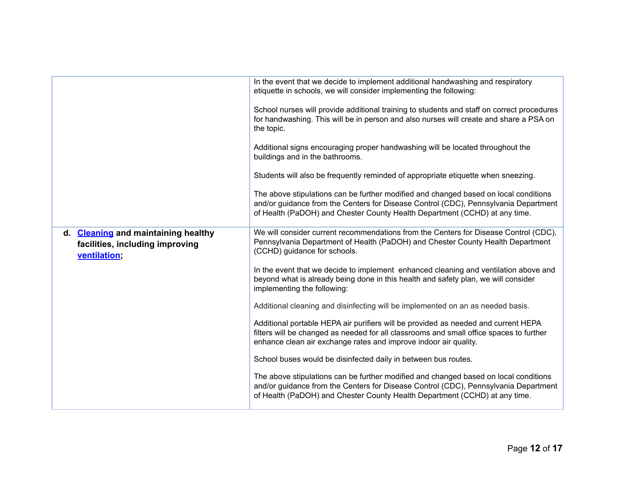|                                                                                        | In the event that we decide to implement additional handwashing and respiratory                                                                                                                                                                           |  |
|----------------------------------------------------------------------------------------|-----------------------------------------------------------------------------------------------------------------------------------------------------------------------------------------------------------------------------------------------------------|--|
|                                                                                        | etiquette in schools, we will consider implementing the following:                                                                                                                                                                                        |  |
|                                                                                        | School nurses will provide additional training to students and staff on correct procedures<br>for handwashing. This will be in person and also nurses will create and share a PSA on<br>the topic.                                                        |  |
|                                                                                        | Additional signs encouraging proper handwashing will be located throughout the<br>buildings and in the bathrooms.                                                                                                                                         |  |
|                                                                                        | Students will also be frequently reminded of appropriate etiquette when sneezing.                                                                                                                                                                         |  |
|                                                                                        | The above stipulations can be further modified and changed based on local conditions<br>and/or guidance from the Centers for Disease Control (CDC), Pennsylvania Department<br>of Health (PaDOH) and Chester County Health Department (CCHD) at any time. |  |
| d. Cleaning and maintaining healthy<br>facilities, including improving<br>ventilation; | We will consider current recommendations from the Centers for Disease Control (CDC),<br>Pennsylvania Department of Health (PaDOH) and Chester County Health Department<br>(CCHD) guidance for schools.                                                    |  |
|                                                                                        | In the event that we decide to implement enhanced cleaning and ventilation above and<br>beyond what is already being done in this health and safety plan, we will consider<br>implementing the following:                                                 |  |
|                                                                                        | Additional cleaning and disinfecting will be implemented on an as needed basis.                                                                                                                                                                           |  |
|                                                                                        | Additional portable HEPA air purifiers will be provided as needed and current HEPA<br>filters will be changed as needed for all classrooms and small office spaces to further<br>enhance clean air exchange rates and improve indoor air quality.         |  |
|                                                                                        | School buses would be disinfected daily in between bus routes.                                                                                                                                                                                            |  |
|                                                                                        | The above stipulations can be further modified and changed based on local conditions<br>and/or guidance from the Centers for Disease Control (CDC), Pennsylvania Department<br>of Health (PaDOH) and Chester County Health Department (CCHD) at any time. |  |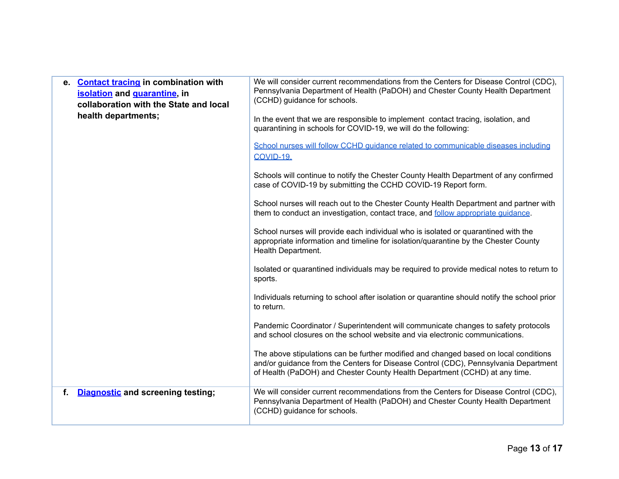| <b>Contact tracing in combination with</b><br>е.<br>isolation and quarantine, in<br>collaboration with the State and local<br>health departments; | We will consider current recommendations from the Centers for Disease Control (CDC),<br>Pennsylvania Department of Health (PaDOH) and Chester County Health Department<br>(CCHD) guidance for schools.<br>In the event that we are responsible to implement contact tracing, isolation, and<br>quarantining in schools for COVID-19, we will do the following:<br>School nurses will follow CCHD quidance related to communicable diseases including<br>COVID-19.<br>Schools will continue to notify the Chester County Health Department of any confirmed<br>case of COVID-19 by submitting the CCHD COVID-19 Report form.<br>School nurses will reach out to the Chester County Health Department and partner with<br>them to conduct an investigation, contact trace, and follow appropriate quidance.<br>School nurses will provide each individual who is isolated or quarantined with the<br>appropriate information and timeline for isolation/quarantine by the Chester County<br>Health Department.<br>Isolated or quarantined individuals may be required to provide medical notes to return to<br>sports.<br>Individuals returning to school after isolation or quarantine should notify the school prior<br>to return.<br>Pandemic Coordinator / Superintendent will communicate changes to safety protocols<br>and school closures on the school website and via electronic communications.<br>The above stipulations can be further modified and changed based on local conditions<br>and/or guidance from the Centers for Disease Control (CDC), Pennsylvania Department<br>of Health (PaDOH) and Chester County Health Department (CCHD) at any time. |
|---------------------------------------------------------------------------------------------------------------------------------------------------|-----------------------------------------------------------------------------------------------------------------------------------------------------------------------------------------------------------------------------------------------------------------------------------------------------------------------------------------------------------------------------------------------------------------------------------------------------------------------------------------------------------------------------------------------------------------------------------------------------------------------------------------------------------------------------------------------------------------------------------------------------------------------------------------------------------------------------------------------------------------------------------------------------------------------------------------------------------------------------------------------------------------------------------------------------------------------------------------------------------------------------------------------------------------------------------------------------------------------------------------------------------------------------------------------------------------------------------------------------------------------------------------------------------------------------------------------------------------------------------------------------------------------------------------------------------------------------------------------------------------------------------------------------------------------|
| <b>Diagnostic and screening testing;</b><br>f.                                                                                                    | We will consider current recommendations from the Centers for Disease Control (CDC),<br>Pennsylvania Department of Health (PaDOH) and Chester County Health Department<br>(CCHD) guidance for schools.                                                                                                                                                                                                                                                                                                                                                                                                                                                                                                                                                                                                                                                                                                                                                                                                                                                                                                                                                                                                                                                                                                                                                                                                                                                                                                                                                                                                                                                                |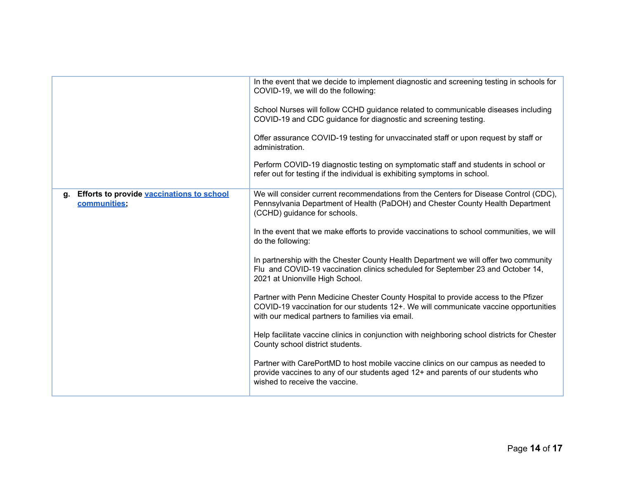|                                                              | In the event that we decide to implement diagnostic and screening testing in schools for<br>COVID-19, we will do the following:<br>School Nurses will follow CCHD guidance related to communicable diseases including<br>COVID-19 and CDC guidance for diagnostic and screening testing.<br>Offer assurance COVID-19 testing for unvaccinated staff or upon request by staff or<br>administration.<br>Perform COVID-19 diagnostic testing on symptomatic staff and students in school or |
|--------------------------------------------------------------|------------------------------------------------------------------------------------------------------------------------------------------------------------------------------------------------------------------------------------------------------------------------------------------------------------------------------------------------------------------------------------------------------------------------------------------------------------------------------------------|
|                                                              | refer out for testing if the individual is exhibiting symptoms in school.                                                                                                                                                                                                                                                                                                                                                                                                                |
| g. Efforts to provide vaccinations to school<br>communities; | We will consider current recommendations from the Centers for Disease Control (CDC),<br>Pennsylvania Department of Health (PaDOH) and Chester County Health Department<br>(CCHD) guidance for schools.                                                                                                                                                                                                                                                                                   |
|                                                              | In the event that we make efforts to provide vaccinations to school communities, we will<br>do the following:                                                                                                                                                                                                                                                                                                                                                                            |
|                                                              | In partnership with the Chester County Health Department we will offer two community<br>Flu and COVID-19 vaccination clinics scheduled for September 23 and October 14,<br>2021 at Unionville High School.                                                                                                                                                                                                                                                                               |
|                                                              | Partner with Penn Medicine Chester County Hospital to provide access to the Pfizer<br>COVID-19 vaccination for our students 12+. We will communicate vaccine opportunities<br>with our medical partners to families via email.                                                                                                                                                                                                                                                           |
|                                                              | Help facilitate vaccine clinics in conjunction with neighboring school districts for Chester<br>County school district students.                                                                                                                                                                                                                                                                                                                                                         |
|                                                              | Partner with CarePortMD to host mobile vaccine clinics on our campus as needed to<br>provide vaccines to any of our students aged 12+ and parents of our students who<br>wished to receive the vaccine.                                                                                                                                                                                                                                                                                  |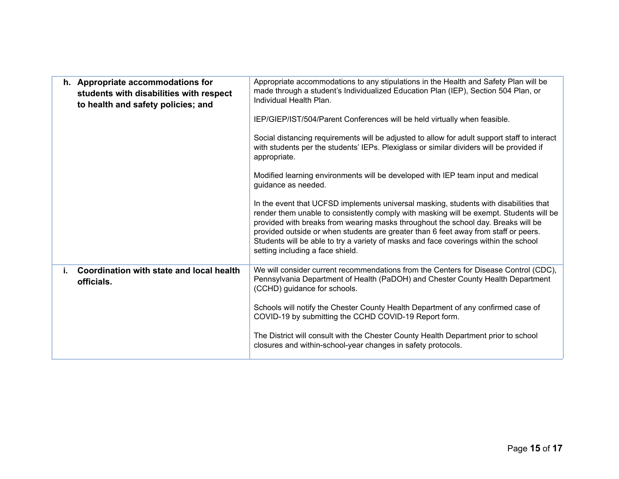| Appropriate accommodations to any stipulations in the Health and Safety Plan will be<br>made through a student's Individualized Education Plan (IEP), Section 504 Plan, or<br>Individual Health Plan.                                                                                                                                                                                                                                                                                    |  |  |
|------------------------------------------------------------------------------------------------------------------------------------------------------------------------------------------------------------------------------------------------------------------------------------------------------------------------------------------------------------------------------------------------------------------------------------------------------------------------------------------|--|--|
| IEP/GIEP/IST/504/Parent Conferences will be held virtually when feasible.                                                                                                                                                                                                                                                                                                                                                                                                                |  |  |
| Social distancing requirements will be adjusted to allow for adult support staff to interact<br>with students per the students' IEPs. Plexiglass or similar dividers will be provided if<br>appropriate.                                                                                                                                                                                                                                                                                 |  |  |
| Modified learning environments will be developed with IEP team input and medical<br>guidance as needed.                                                                                                                                                                                                                                                                                                                                                                                  |  |  |
| In the event that UCFSD implements universal masking, students with disabilities that<br>render them unable to consistently comply with masking will be exempt. Students will be<br>provided with breaks from wearing masks throughout the school day. Breaks will be<br>provided outside or when students are greater than 6 feet away from staff or peers.<br>Students will be able to try a variety of masks and face coverings within the school<br>setting including a face shield. |  |  |
| We will consider current recommendations from the Centers for Disease Control (CDC),<br>Pennsylvania Department of Health (PaDOH) and Chester County Health Department<br>(CCHD) guidance for schools.                                                                                                                                                                                                                                                                                   |  |  |
| Schools will notify the Chester County Health Department of any confirmed case of<br>COVID-19 by submitting the CCHD COVID-19 Report form.                                                                                                                                                                                                                                                                                                                                               |  |  |
| The District will consult with the Chester County Health Department prior to school<br>closures and within-school-year changes in safety protocols.                                                                                                                                                                                                                                                                                                                                      |  |  |
|                                                                                                                                                                                                                                                                                                                                                                                                                                                                                          |  |  |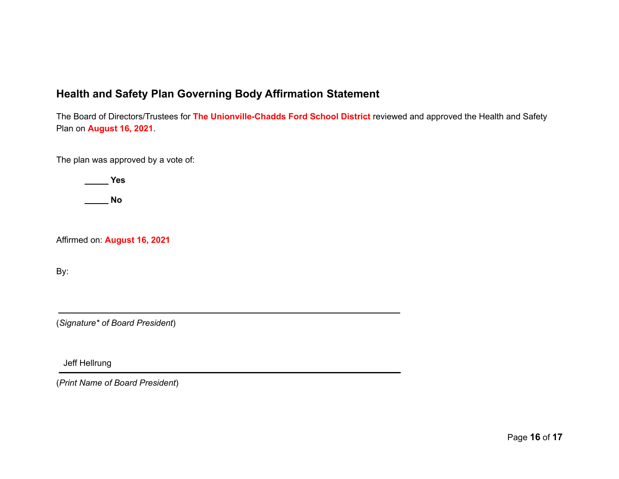## **Health and Safety Plan Governing Body Affirmation Statement**

The Board of Directors/Trustees for **The Unionville-Chadds Ford School District** reviewed and approved the Health and Safety Plan on **August 16, 2021**.

The plan was approved by a vote of:

**Yes**

**No**

Affirmed on: **August 16, 2021**

By:

(*Signature\* of Board President*)

Jeff Hellrung

(*Print Name of Board President*)